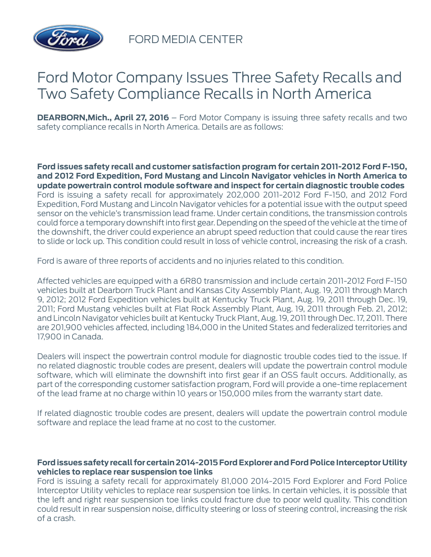

FORD MEDIA CENTER

## Ford Motor Company Issues Three Safety Recalls and Two Safety Compliance Recalls in North America

**DEARBORN,Mich., April 27, 2016** – Ford Motor Company is issuing three safety recalls and two safety compliance recalls in North America. Details are as follows:

**Ford issues safety recall and customer satisfaction program for certain 2011-2012 Ford F-150, and 2012 Ford Expedition, Ford Mustang and Lincoln Navigator vehicles in North America to update powertrain control module software and inspect for certain diagnostic trouble codes** Ford is issuing a safety recall for approximately 202,000 2011-2012 Ford F-150, and 2012 Ford Expedition, Ford Mustang and Lincoln Navigator vehicles for a potential issue with the output speed sensor on the vehicle's transmission lead frame. Under certain conditions, the transmission controls could force a temporary downshift into first gear. Depending on the speed of the vehicle at the time of the downshift, the driver could experience an abrupt speed reduction that could cause the rear tires to slide or lock up. This condition could result in loss of vehicle control, increasing the risk of a crash.

Ford is aware of three reports of accidents and no injuries related to this condition.

Affected vehicles are equipped with a 6R80 transmission and include certain 2011-2012 Ford F-150 vehicles built at Dearborn Truck Plant and Kansas City Assembly Plant, Aug. 19, 2011 through March 9, 2012; 2012 Ford Expedition vehicles built at Kentucky Truck Plant, Aug. 19, 2011 through Dec. 19, 2011; Ford Mustang vehicles built at Flat Rock Assembly Plant, Aug. 19, 2011 through Feb. 21, 2012; and Lincoln Navigator vehicles built at Kentucky Truck Plant, Aug. 19, 2011 through Dec. 17, 2011. There are 201,900 vehicles affected, including 184,000 in the United States and federalized territories and 17,900 in Canada.

Dealers will inspect the powertrain control module for diagnostic trouble codes tied to the issue. If no related diagnostic trouble codes are present, dealers will update the powertrain control module software, which will eliminate the downshift into first gear if an OSS fault occurs. Additionally, as part of the corresponding customer satisfaction program, Ford will provide a one-time replacement of the lead frame at no charge within 10 years or 150,000 miles from the warranty start date.

If related diagnostic trouble codes are present, dealers will update the powertrain control module software and replace the lead frame at no cost to the customer.

## **Ford issues safety recall for certain 2014-2015 Ford Explorer and Ford Police Interceptor Utility vehicles to replace rear suspension toe links**

Ford is issuing a safety recall for approximately 81,000 2014-2015 Ford Explorer and Ford Police Interceptor Utility vehicles to replace rear suspension toe links. In certain vehicles, it is possible that the left and right rear suspension toe links could fracture due to poor weld quality. This condition could result in rear suspension noise, difficulty steering or loss of steering control, increasing the risk of a crash.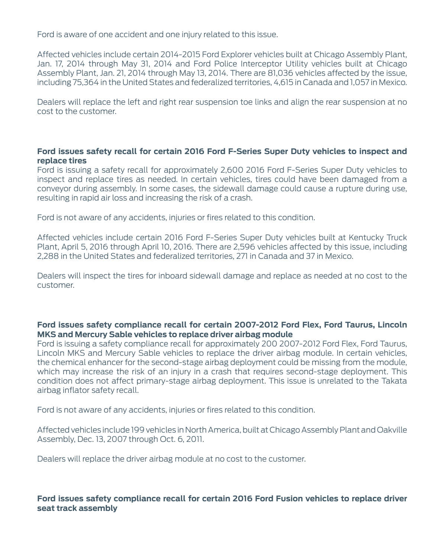Ford is aware of one accident and one injury related to this issue.

Affected vehicles include certain 2014-2015 Ford Explorer vehicles built at Chicago Assembly Plant, Jan. 17, 2014 through May 31, 2014 and Ford Police Interceptor Utility vehicles built at Chicago Assembly Plant, Jan. 21, 2014 through May 13, 2014. There are 81,036 vehicles affected by the issue, including 75,364 in the United States and federalized territories, 4,615 in Canada and 1,057 in Mexico.

Dealers will replace the left and right rear suspension toe links and align the rear suspension at no cost to the customer.

## **Ford issues safety recall for certain 2016 Ford F-Series Super Duty vehicles to inspect and replace tires**

Ford is issuing a safety recall for approximately 2,600 2016 Ford F-Series Super Duty vehicles to inspect and replace tires as needed. In certain vehicles, tires could have been damaged from a conveyor during assembly. In some cases, the sidewall damage could cause a rupture during use, resulting in rapid air loss and increasing the risk of a crash.

Ford is not aware of any accidents, injuries or fires related to this condition.

Affected vehicles include certain 2016 Ford F-Series Super Duty vehicles built at Kentucky Truck Plant, April 5, 2016 through April 10, 2016. There are 2,596 vehicles affected by this issue, including 2,288 in the United States and federalized territories, 271 in Canada and 37 in Mexico.

Dealers will inspect the tires for inboard sidewall damage and replace as needed at no cost to the customer.

## **Ford issues safety compliance recall for certain 2007-2012 Ford Flex, Ford Taurus, Lincoln MKS and Mercury Sable vehicles to replace driver airbag module**

Ford is issuing a safety compliance recall for approximately 200 2007-2012 Ford Flex, Ford Taurus, Lincoln MKS and Mercury Sable vehicles to replace the driver airbag module. In certain vehicles, the chemical enhancer for the second-stage airbag deployment could be missing from the module, which may increase the risk of an injury in a crash that requires second-stage deployment. This condition does not affect primary-stage airbag deployment. This issue is unrelated to the Takata airbag inflator safety recall.

Ford is not aware of any accidents, injuries or fires related to this condition.

Affected vehicles include 199 vehicles in North America, built at Chicago Assembly Plant and Oakville Assembly, Dec. 13, 2007 through Oct. 6, 2011.

Dealers will replace the driver airbag module at no cost to the customer.

**Ford issues safety compliance recall for certain 2016 Ford Fusion vehicles to replace driver seat track assembly**